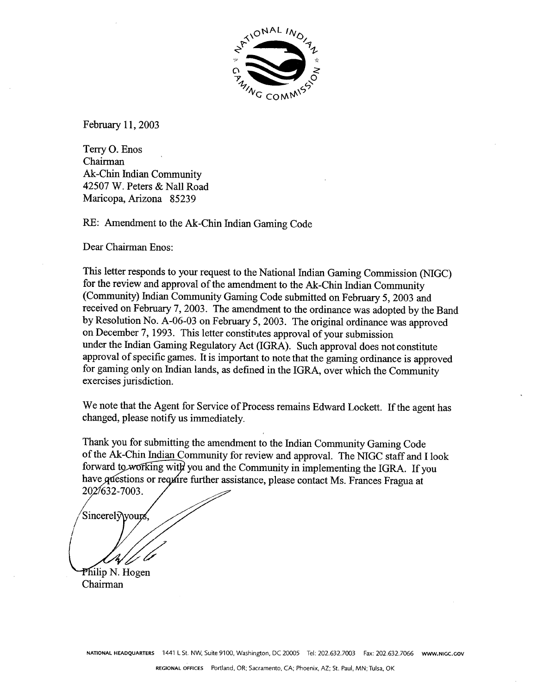

February 11, 2003

Terry **0.** Enos Chairman Ak-Chin Indian Community 42507 W. Peters & Nall Road Maricopa, Arizona 85239

RE: Amendment to the Ak-Chin Indian Gaming Code

Dear Chairman Enos:

This letter responds to your request to the National Indian Gaming Commission (NIGC) for the review and approval of the amendment to the Ak-Chin Indian Community (Community) Indian Community Gaming Code submitted on February 5,2003 and received on February 7,2003. The amendment to the ordinance was adopted by the Band by Resolution No. A-06-03 on February 5,2003. The original ordinance was approved on December 7, 1993. This letter constitutes approval of your submission under the Indian Gaming Regulatory Act (IGRA). Such approval does not constitute approval of specific games. It is important to note that the gaming ordinance is approved for gaming only on Indian lands, as defined in the IGRA, over which the Community exercises jurisdiction.

We note that the Agent for Service of Process remains Edward Lockett. If the agent has changed, please notify us immediately.

Thank you for submitting the amendment to the Indian Community Gaming Code of the Ak-Chin Indian Community for review and approval. The NIGC staff and I look forward to working with you and the Community in implementing the IGRA. If you have questions or require further assistance, please contact Ms. Frances Fragua at 202/632-7003.

Sincerely\yours

Philip N. Hogen Chairman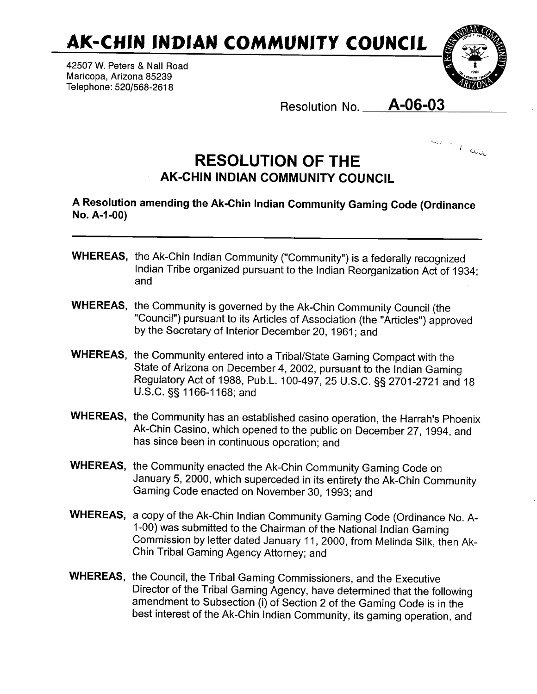**AK-CHIN INDIAN COMMUNITY COUNCIL** 

42507 W. Peters & Nall Road Maricopa, Arizona 85239 Telephone: **5201568-261 8** 



Resolution No. **A-06-03** 



## **RESOLUTION OF THE AK-CHIN INDIAN COMMUNITY COUNCIL**

A Resolution amending the Ak-Chin lndian Community Gaming Code (Ordinance **No.** A-1 **-00)** 

- WHEREAS, the Ak-Chin lndian Community ("Community") is a federally recognized lndian Tribe organized pursuant to the lndian Reorganization Act of 1934; and
- WHEREAS, the Community is governed by the Ak-Chin Community Council (the "Council") pursuant to its Articles of Association (the "Articles") approved by the Secretary of Interior December 20, 1961; and
- WHEREAS, the Community entered into a Tribal/State Gaming Compact with the State of Arizona on December 4, 2002, pursuant to the lndian Gaming Regulatory Act of 1988, Pub.L. 100-497, 25 U.S.C. §§ 2701-2721 and 18 U.S.C. **55** 1 166-1 168; and
- WHEREAS, the Community has an established casino operation, the Harrah's Phoenix Ak-Chin Casino, which opened to the public on December 27, 1994, and has since been in continuous operation; and
- WHEREAS, the Community enacted the Ak-Chin Community Gaming Code on January 5, 2000, which superceded in its entirety the Ak-Chin Community Gaming Code enacted on November 30,1993; and
- WHEREAS, a copy of the Ak-Chin lndian Community Gaming Code (Ordinance No. A-1-00) was submitted to the Chairman of the National lndian Gaming Commission by letter dated January 11, 2000, from Melinda Silk, then Ak-Chin Tribal Gaming Agency Attorney; and
- WHEREAS, the Council, the Tribal Gaming Commissioners, and the Executive Director of the Tribal Gaming Agency, have determined that the following amendment to Subsection (i) of Section 2 of the Gaming Code is in the best interest of the Ak-Chin lndian Community, its gaming operation, and